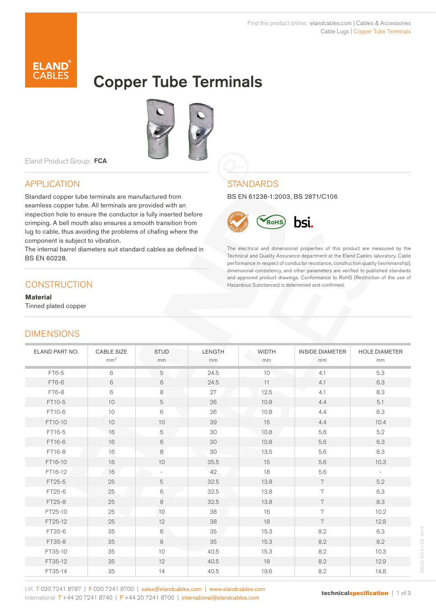The electrical and dimensional properties of this product are measured by the Technical and Quality Assurance department at the Eland Cables laboratory. Cable performance in respect of conductor resistance, construction quality (workmanship), dimensional consistency, and other parameters are verified to published standards and approved product drawings. Conformance to RoHS (Restriction of the use of

hsi.

Hazardous Substances) is determined and confirmed.

BS EN 61238-1:2003, BS 2871/C106

RoHS

**STANDARDS** 



# Copper Tube Terminals



Eland Product Group: FCA

### APPLICATION

Standard copper tube terminals are manufactured from seamless copper tube. All terminals are provided with an inspection hole to ensure the conductor is fully inserted before crimping. A bell mouth also ensures a smooth transition from lug to cable, thus avoiding the problems of chafing where the component is subject to vibration.

The internal barrel diameters suit standard cables as defined in BS EN 60228.

### **CONSTRUCTION**

**Material**

Tinned plated copper

## **DIMENSIONS**

#### ELAND PART NO. CABLE SIZE mm<sup>2</sup> **STUD** mm LENGTH mm WIDTH mm INSIDE DIAMETER mm HOLE DIAMETER mm FT6-5  $\vert$  6 5 5 24.5 10 4.1 5.3 FT6-6 | 6 | 6 | 24.5 | 11 | 4.1 | 6.3 FT6-8 | 6 | 8 | 27 | 12.5 | 4.1 | 8.3 FT10-5 | 10 | 5 | 26 | 10.8 | 4.4 | 5.1 FT10-6 10 6 26 10.8 4.4 6.3 FT10-10 | 10 | 10 | 39 | 15 | 4.4 | 10.4 FT16-5 16 5 30 10.8 5.6 5.2 FT16-6 | 16 | 6 | 30 | 10.8 | 5.6 | 6.3 FT16-8 16 8 8.3 30 13.5 5.6 8.3 FT16-10 | 16 | 10 | 35.5 | 15 | 5.6 | 10.3 FT16-12 16 16 - 42 18 5.6 -FT25-5 | 25 | 5 | 32.5 | 13.8 | 7 | 5.2 FT25-6 25 6 6 32.5 13.8 7 6.3 FT25-8 | 25 | 8 | 32.5 | 13.8 | 7 | 8.3 FT25-10 | 25 | 10 | 38 | 16 | 7 | 10.2

FT25-12 | 25 | 12 | 38 | 18 | 7 | 12.8 FT35-6 | 35 | 6 | 35 | 15.3 | 8.2 | 6.3 FT35-8 | 35 | 8 | 35 | 15.3 | 8.2 | 8.2 FT35-10 | 35 | 10 | 40.5 | 15.3 | 8.2 | 10.3 FT35-12 | 35 | 12 | 40.5 | 18 | 8.2 | 12.9 FT35-14 | 35 | 14 | 40.5 | 19.6 | 8.2 | 14.8

ISSUE NO 01-03 -2014 NO 01-03 SSUEI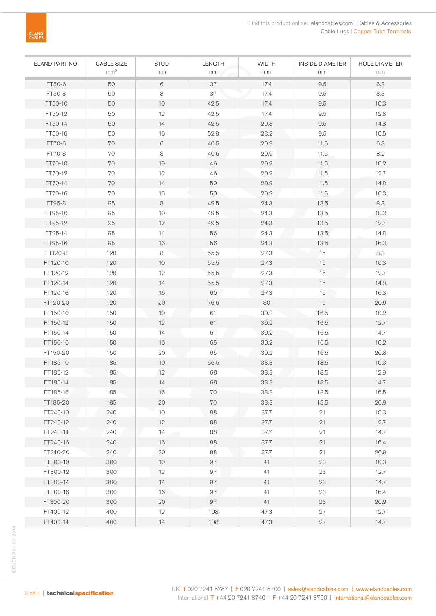| ELAND PART NO. | CABLE SIZE<br>mm <sup>2</sup> | <b>STUD</b><br>mm | LENGTH<br>mm | <b>WIDTH</b><br>mm | <b>INSIDE DIAMETER</b><br>mm | <b>HOLE DIAMETER</b><br>mm |
|----------------|-------------------------------|-------------------|--------------|--------------------|------------------------------|----------------------------|
| FT50-6         | 50                            | 6                 | 37           | 17.4               | 9.5                          | 6.3                        |
| FT50-8         | 50                            | 8                 | 37           | 17.4               | 9.5                          | 8.3                        |
| FT50-10        | 50                            | 10                | 42.5         | 17.4               | 9.5                          | 10.3                       |
| FT50-12        | 50                            | 12                | 42.5         | 17.4               | 9.5                          | 12.8                       |
| FT50-14        | 50                            | 14                | 42.5         | 20.3               | 9.5                          | 14.8                       |
| FT50-16        | 50                            | 16                | 52.8         | 23.2               | 9.5                          | 16.5                       |
| FT70-6         | 70                            | 6                 | 40.5         | 20.9               | 11.5                         | 6.3                        |
| FT70-8         | 70                            | 8                 | 40.5         | 20.9               | 11.5                         | 8.2                        |
| FT70-10        | $70\,$                        | 10                | 46           | 20.9               | 11.5                         | 10.2                       |
| FT70-12        | 70                            | 12                | 46           | 20.9               | 11.5                         | 12.7                       |
| FT70-14        | 70                            | 14                | 50           | 20.9               | 11.5                         | 14.8                       |
| FT70-16        | 70                            | 16                | 50           | 20.9               | 11.5                         | 16.3                       |
| FT95-8         | 95                            | 8                 | 49.5         | 24.3               | 13.5                         | 8.3                        |
| FT95-10        | 95                            | $10$              | 49.5         | 24.3               | 13.5                         | 10.3                       |
| FT95-12        | 95                            | 12                | 49.5         | 24.3               | 13.5                         | 12.7                       |
| FT95-14        | 95                            | 14                | 56           | 24.3               | 13.5                         | 14.8                       |
| FT95-16        | 95                            | 16                | 56           | 24.3               | 13.5                         | 16.3                       |
| FT120-8        | 120                           | 8                 | 55.5         | 27.3               | 15                           | 8.3                        |
| FT120-10       | 120                           | 10                | 55.5         | 27.3               | 15                           | 10.3                       |
| FT120-12       | 120                           | 12                | 55.5         | 27.3               | 15                           | 12.7                       |
| FT120-14       | 120                           | 14                | 55.5         | 27.3               | 15                           | 14.8                       |
| FT120-16       | 120                           | 16                | 60           | 27.3               | 15                           | 16.3                       |
| FT120-20       | 120                           | 20                | 76.6         | 30                 | 15                           | 20.9                       |
| FT150-10       | 150                           | 10                | 61           | 30.2               | 16.5                         | 10.2                       |
| FT150-12       | 150                           | 12                | 61           | 30.2               | 16.5                         | 12.7                       |
| FT150-14       | 150                           | 14                | 61           | 30.2               | 16.5                         | 14.7                       |
| FT150-16       | 150                           | 16                | 65           | 30.2               | 16.5                         | 16.2                       |
| FT150-20       | 150                           | 20                | 65           | 30.2               | 16.5                         | 20.8                       |
| FT185-10       | 185                           | 10                | 66.5         | 33.3               | 18.5                         | 10.3                       |
| FT185-12       | 185                           | 12                | 68           | 33.3               | 18.5                         | 12.9                       |
| FT185-14       | 185                           | 14                | 68           | 33.3               | 18.5                         | 14.7                       |
| FT185-16       | 185                           | 16                | 70           | 33.3               | 18.5                         | 16.5                       |
| FT185-20       | 185                           | 20                | 70           | 33.3               | 18.5                         | 20.9                       |
| FT240-10       | 240                           | 10                | 88           | 37.7               | 21                           | 10.3                       |
| FT240-12       | 240                           | 12                | 88           | 37.7               | 21                           | 12.7                       |
| FT240-14       | 240                           | $14$              | 88           | 37.7               | 21                           | 14.7                       |
| FT240-16       | 240                           | 16                | 88           | 37.7               | 21                           | 16.4                       |
| FT240-20       | 240                           | 20                | 88           | 37.7               | 21                           | 20.9                       |
| FT300-10       | 300                           | $10$              | 97           | 41                 | 23                           | 10.3                       |
| FT300-12       | 300                           | 12                | $97\,$       | 41                 | 23                           | 12.7                       |
| FT300-14       | 300                           | 14                | 97           | 41                 | 23                           | 14.7                       |
| FT300-16       | 300                           | 16                | 97           | 41                 | 23                           | 16.4                       |
| FT300-20       | 300                           | 20                | 97           | 41                 | 23                           | $20.9\,$                   |
| FT400-12       | 400                           | 12                | 108          | 47.3               | 27                           | 12.7                       |
| FT400-14       | 400                           | 14                | 108          | 47.3               | $27\,$                       | 14.7                       |

ELAND<sup>'</sup><br>CABLES